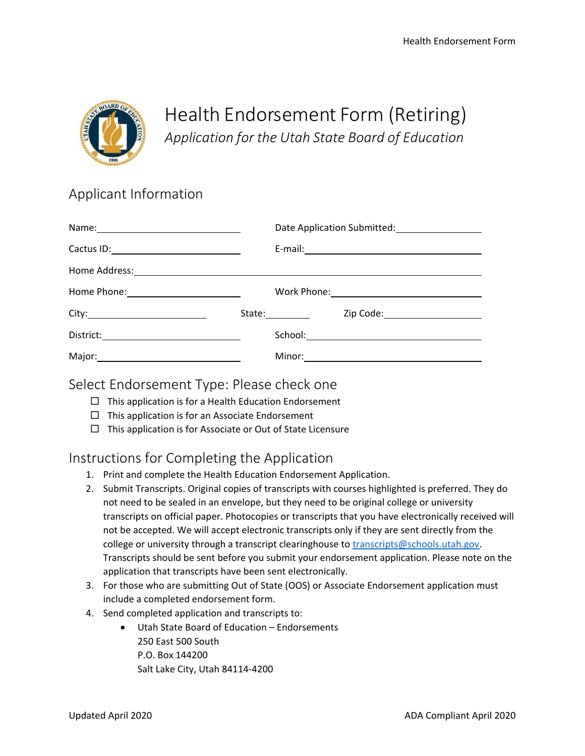

# Health Endorsement Form (Retiring) *Application for the Utah State Board of Education*

# Applicant Information

|                                                                                                                |                                                                                                                                                                                                                                | Date Application Submitted: 1997                   |
|----------------------------------------------------------------------------------------------------------------|--------------------------------------------------------------------------------------------------------------------------------------------------------------------------------------------------------------------------------|----------------------------------------------------|
|                                                                                                                |                                                                                                                                                                                                                                | E-mail: <u>Alexander School (Alexander School)</u> |
|                                                                                                                |                                                                                                                                                                                                                                |                                                    |
| Home Phone: _________________________                                                                          |                                                                                                                                                                                                                                |                                                    |
|                                                                                                                | State: The Management of the State of the State of the State of the State of the State of the State of the State of the State of the State of the State of the State of the State of the State of the State of the State of th | Zip Code: _______________________                  |
| $\text{District:}\underbrace{\hspace{2.5cm}}_{\text{District:}}\underbrace{\hspace{2.5cm}}_{\text{District:}}$ |                                                                                                                                                                                                                                |                                                    |
| Major: National Communication of the Major:                                                                    |                                                                                                                                                                                                                                |                                                    |

### Select Endorsement Type: Please check one

- $\Box$  This application is for a Health Education Endorsement
- $\Box$  This application is for an Associate Endorsement
- $\Box$  This application is for Associate or Out of State Licensure

## Instructions for Completing the Application

- 1. Print and complete the Health Education Endorsement Application.
- 2. Submit Transcripts. Original copies of transcripts with courses highlighted is preferred. They do not need to be sealed in an envelope, but they need to be original college or university transcripts on official paper. Photocopies or transcripts that you have electronically received will not be accepted. We will accept electronic transcripts only if they are sent directly from the college or university through a transcript clearinghouse to [transcripts@schools.utah.gov.](mailto:transcripts@schools.utah.gov) Transcripts should be sent before you submit your endorsement application. Please note on the application that transcripts have been sent electronically.
- 3. For those who are submitting Out of State (OOS) or Associate Endorsement application must include a completed endorsement form.
- 4. Send completed application and transcripts to:
	- Utah State Board of Education Endorsements 250 East 500 South P.O. Box 144200 Salt Lake City, Utah 84114-4200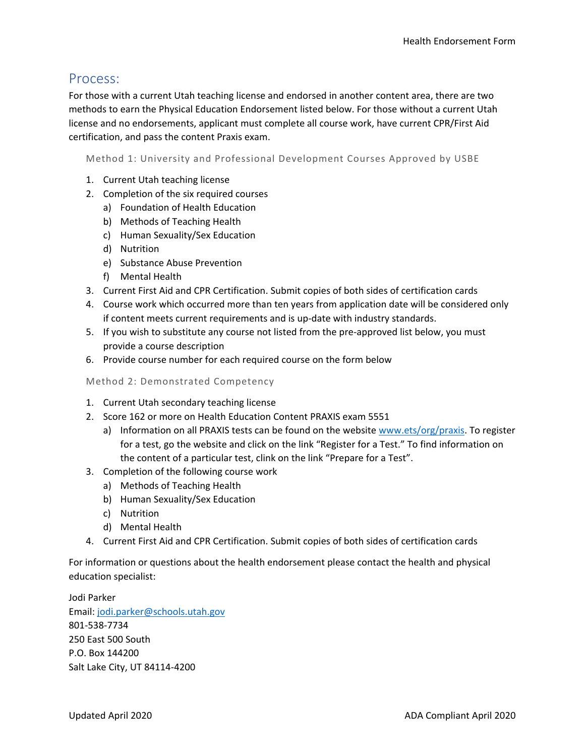### Process:

For those with a current Utah teaching license and endorsed in another content area, there are two methods to earn the Physical Education Endorsement listed below. For those without a current Utah license and no endorsements, applicant must complete all course work, have current CPR/First Aid certification, and pass the content Praxis exam.

Method 1: University and Professional Development Courses Approved by USBE

- 1. Current Utah teaching license
- 2. Completion of the six required courses
	- a) Foundation of Health Education
	- b) Methods of Teaching Health
	- c) Human Sexuality/Sex Education
	- d) Nutrition
	- e) Substance Abuse Prevention
	- f) Mental Health
- 3. Current First Aid and CPR Certification. Submit copies of both sides of certification cards
- 4. Course work which occurred more than ten years from application date will be considered only if content meets current requirements and is up-date with industry standards.
- 5. If you wish to substitute any course not listed from the pre-approved list below, you must provide a course description
- 6. Provide course number for each required course on the form below

Method 2: Demonstrated Competency

- 1. Current Utah secondary teaching license
- 2. Score 162 or more on Health Education Content PRAXIS exam 5551
	- a) Information on all PRAXIS tests can be found on the websit[e www.ets/org/praxis.](http://www.ets/org/praxis) To register for a test, go the website and click on the link "Register for a Test." To find information on the content of a particular test, clink on the link "Prepare for a Test".
- 3. Completion of the following course work
	- a) Methods of Teaching Health
	- b) Human Sexuality/Sex Education
	- c) Nutrition
	- d) Mental Health
- 4. Current First Aid and CPR Certification. Submit copies of both sides of certification cards

For information or questions about the health endorsement please contact the health and physical education specialist:

Jodi Parker Email: [jodi.parker@schools.utah.gov](mailto:jodi.parker@schools.utah.gov) 801-538-7734 250 East 500 South P.O. Box 144200 Salt Lake City, UT 84114-4200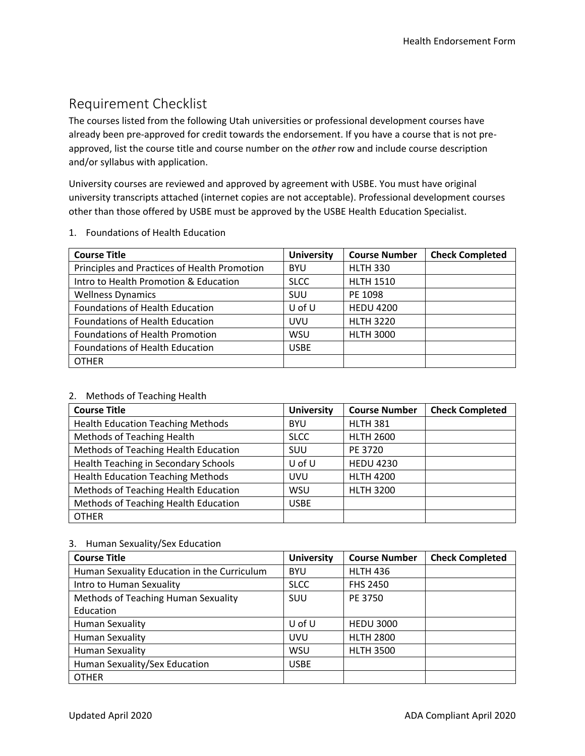# Requirement Checklist

The courses listed from the following Utah universities or professional development courses have already been pre-approved for credit towards the endorsement. If you have a course that is not preapproved, list the course title and course number on the *other* row and include course description and/or syllabus with application.

University courses are reviewed and approved by agreement with USBE. You must have original university transcripts attached (internet copies are not acceptable). Professional development courses other than those offered by USBE must be approved by the USBE Health Education Specialist.

| 1. Foundations of Health Education |  |
|------------------------------------|--|
|                                    |  |

| <b>Course Title</b>                          | <b>University</b> | <b>Course Number</b> | <b>Check Completed</b> |
|----------------------------------------------|-------------------|----------------------|------------------------|
| Principles and Practices of Health Promotion | <b>BYU</b>        | <b>HLTH 330</b>      |                        |
| Intro to Health Promotion & Education        | <b>SLCC</b>       | <b>HLTH 1510</b>     |                        |
| <b>Wellness Dynamics</b>                     | SUU               | PE 1098              |                        |
| <b>Foundations of Health Education</b>       | U of U            | <b>HEDU 4200</b>     |                        |
| <b>Foundations of Health Education</b>       | <b>UVU</b>        | <b>HLTH 3220</b>     |                        |
| Foundations of Health Promotion              | <b>WSU</b>        | <b>HLTH 3000</b>     |                        |
| Foundations of Health Education              | <b>USBE</b>       |                      |                        |
| <b>OTHER</b>                                 |                   |                      |                        |

#### 2. Methods of Teaching Health

| <b>Course Title</b>                      | <b>University</b> | <b>Course Number</b> | <b>Check Completed</b> |
|------------------------------------------|-------------------|----------------------|------------------------|
| <b>Health Education Teaching Methods</b> | <b>BYU</b>        | <b>HLTH 381</b>      |                        |
| Methods of Teaching Health               | <b>SLCC</b>       | <b>HLTH 2600</b>     |                        |
| Methods of Teaching Health Education     | <b>SUU</b>        | PE 3720              |                        |
| Health Teaching in Secondary Schools     | U of U            | <b>HEDU 4230</b>     |                        |
| <b>Health Education Teaching Methods</b> | <b>UVU</b>        | <b>HLTH 4200</b>     |                        |
| Methods of Teaching Health Education     | WSU               | <b>HLTH 3200</b>     |                        |
| Methods of Teaching Health Education     | <b>USBE</b>       |                      |                        |
| <b>OTHER</b>                             |                   |                      |                        |

#### 3. Human Sexuality/Sex Education

| <b>Course Title</b>                         | <b>University</b> | <b>Course Number</b> | <b>Check Completed</b> |
|---------------------------------------------|-------------------|----------------------|------------------------|
| Human Sexuality Education in the Curriculum | <b>BYU</b>        | <b>HLTH 436</b>      |                        |
| Intro to Human Sexuality                    | <b>SLCC</b>       | <b>FHS 2450</b>      |                        |
| Methods of Teaching Human Sexuality         | SUU               | PE 3750              |                        |
| Education                                   |                   |                      |                        |
| <b>Human Sexuality</b>                      | $U$ of $U$        | <b>HEDU 3000</b>     |                        |
| <b>Human Sexuality</b>                      | UVU               | <b>HLTH 2800</b>     |                        |
| <b>Human Sexuality</b>                      | WSU               | <b>HLTH 3500</b>     |                        |
| Human Sexuality/Sex Education               | <b>USBE</b>       |                      |                        |
| <b>OTHER</b>                                |                   |                      |                        |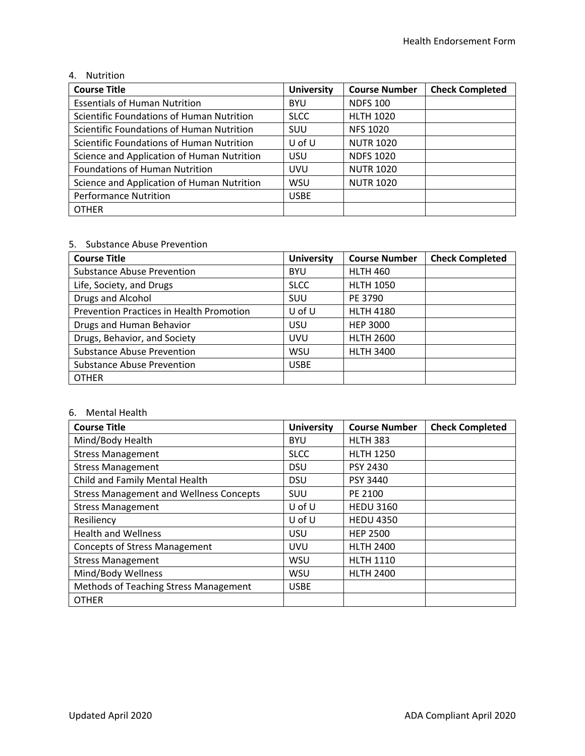#### 4. Nutrition

| <b>Course Title</b>                        | <b>University</b> | <b>Course Number</b> | <b>Check Completed</b> |
|--------------------------------------------|-------------------|----------------------|------------------------|
| <b>Essentials of Human Nutrition</b>       | <b>BYU</b>        | <b>NDFS 100</b>      |                        |
| Scientific Foundations of Human Nutrition  | <b>SLCC</b>       | <b>HLTH 1020</b>     |                        |
| Scientific Foundations of Human Nutrition  | <b>SUU</b>        | <b>NFS 1020</b>      |                        |
| Scientific Foundations of Human Nutrition  | $U$ of $U$        | <b>NUTR 1020</b>     |                        |
| Science and Application of Human Nutrition | <b>USU</b>        | <b>NDFS 1020</b>     |                        |
| <b>Foundations of Human Nutrition</b>      | <b>UVU</b>        | <b>NUTR 1020</b>     |                        |
| Science and Application of Human Nutrition | <b>WSU</b>        | <b>NUTR 1020</b>     |                        |
| <b>Performance Nutrition</b>               | <b>USBE</b>       |                      |                        |
| <b>OTHER</b>                               |                   |                      |                        |

#### 5. Substance Abuse Prevention

| <b>Course Title</b>                      | <b>University</b> | <b>Course Number</b> | <b>Check Completed</b> |
|------------------------------------------|-------------------|----------------------|------------------------|
| <b>Substance Abuse Prevention</b>        | <b>BYU</b>        | <b>HLTH 460</b>      |                        |
| Life, Society, and Drugs                 | <b>SLCC</b>       | <b>HLTH 1050</b>     |                        |
| Drugs and Alcohol                        | <b>SUU</b>        | PE 3790              |                        |
| Prevention Practices in Health Promotion | $U$ of $U$        | <b>HLTH 4180</b>     |                        |
| Drugs and Human Behavior                 | <b>USU</b>        | <b>HEP 3000</b>      |                        |
| Drugs, Behavior, and Society             | <b>UVU</b>        | <b>HLTH 2600</b>     |                        |
| <b>Substance Abuse Prevention</b>        | WSU               | <b>HLTH 3400</b>     |                        |
| <b>Substance Abuse Prevention</b>        | <b>USBE</b>       |                      |                        |
| <b>OTHER</b>                             |                   |                      |                        |

#### 6. Mental Health

| <b>Course Title</b>                            | <b>University</b> | <b>Course Number</b> | <b>Check Completed</b> |
|------------------------------------------------|-------------------|----------------------|------------------------|
| Mind/Body Health                               | <b>BYU</b>        | <b>HLTH 383</b>      |                        |
| <b>Stress Management</b>                       | <b>SLCC</b>       | <b>HLTH 1250</b>     |                        |
| <b>Stress Management</b>                       | <b>DSU</b>        | PSY 2430             |                        |
| Child and Family Mental Health                 | <b>DSU</b>        | <b>PSY 3440</b>      |                        |
| <b>Stress Management and Wellness Concepts</b> | <b>SUU</b>        | PE 2100              |                        |
| <b>Stress Management</b>                       | $U$ of $U$        | <b>HEDU 3160</b>     |                        |
| Resiliency                                     | $U$ of $U$        | <b>HEDU 4350</b>     |                        |
| <b>Health and Wellness</b>                     | <b>USU</b>        | <b>HEP 2500</b>      |                        |
| <b>Concepts of Stress Management</b>           | UVU               | <b>HLTH 2400</b>     |                        |
| <b>Stress Management</b>                       | <b>WSU</b>        | <b>HLTH 1110</b>     |                        |
| Mind/Body Wellness                             | <b>WSU</b>        | <b>HLTH 2400</b>     |                        |
| Methods of Teaching Stress Management          | <b>USBE</b>       |                      |                        |
| <b>OTHER</b>                                   |                   |                      |                        |